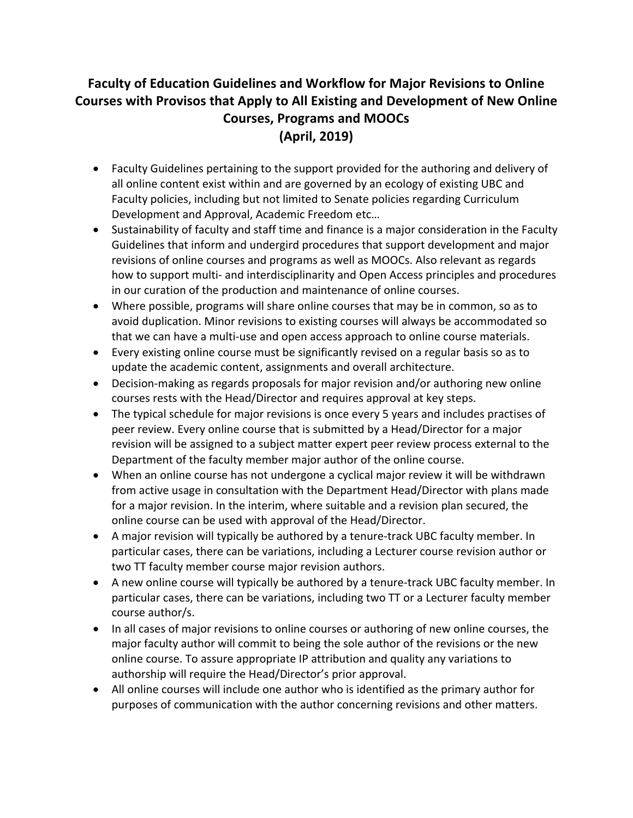## **Faculty of Education Guidelines and Workflow for Major Revisions to Online Courses with Provisos that Apply to All Existing and Development of New Online Courses, Programs and MOOCs (April, 2019)**

- Faculty Guidelines pertaining to the support provided for the authoring and delivery of all online content exist within and are governed by an ecology of existing UBC and Faculty policies, including but not limited to Senate policies regarding Curriculum Development and Approval, Academic Freedom etc…
- Sustainability of faculty and staff time and finance is a major consideration in the Faculty Guidelines that inform and undergird procedures that support development and major revisions of online courses and programs as well as MOOCs. Also relevant as regards how to support multi- and interdisciplinarity and Open Access principles and procedures in our curation of the production and maintenance of online courses.
- Where possible, programs will share online courses that may be in common, so as to avoid duplication. Minor revisions to existing courses will always be accommodated so that we can have a multi-use and open access approach to online course materials.
- Every existing online course must be significantly revised on a regular basis so as to update the academic content, assignments and overall architecture.
- Decision-making as regards proposals for major revision and/or authoring new online courses rests with the Head/Director and requires approval at key steps.
- The typical schedule for major revisions is once every 5 years and includes practises of peer review. Every online course that is submitted by a Head/Director for a major revision will be assigned to a subject matter expert peer review process external to the Department of the faculty member major author of the online course.
- When an online course has not undergone a cyclical major review it will be withdrawn from active usage in consultation with the Department Head/Director with plans made for a major revision. In the interim, where suitable and a revision plan secured, the online course can be used with approval of the Head/Director.
- A major revision will typically be authored by a tenure-track UBC faculty member. In particular cases, there can be variations, including a Lecturer course revision author or two TT faculty member course major revision authors.
- A new online course will typically be authored by a tenure-track UBC faculty member. In particular cases, there can be variations, including two TT or a Lecturer faculty member course author/s.
- In all cases of major revisions to online courses or authoring of new online courses, the major faculty author will commit to being the sole author of the revisions or the new online course. To assure appropriate IP attribution and quality any variations to authorship will require the Head/Director's prior approval.
- All online courses will include one author who is identified as the primary author for purposes of communication with the author concerning revisions and other matters.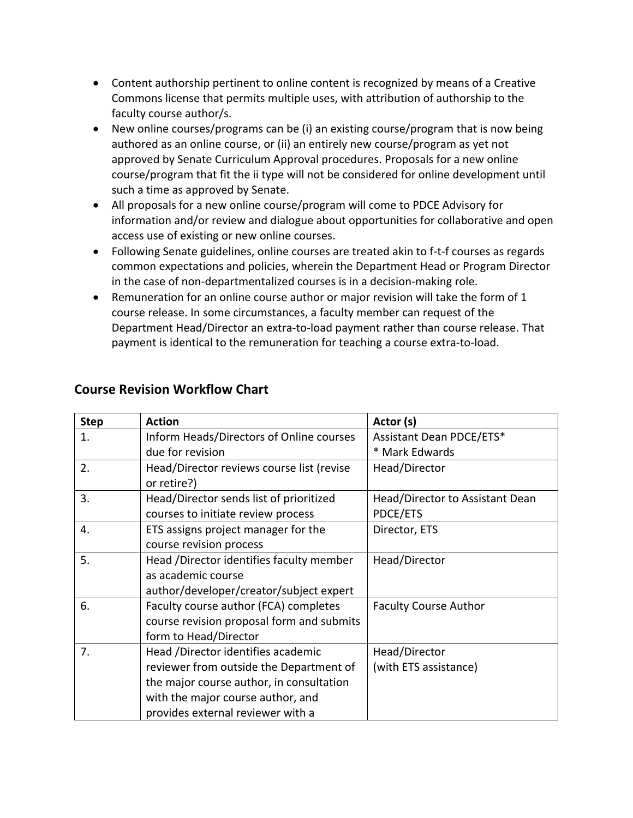- Content authorship pertinent to online content is recognized by means of a Creative Commons license that permits multiple uses, with attribution of authorship to the faculty course author/s.
- New online courses/programs can be (i) an existing course/program that is now being authored as an online course, or (ii) an entirely new course/program as yet not approved by Senate Curriculum Approval procedures. Proposals for a new online course/program that fit the ii type will not be considered for online development until such a time as approved by Senate.
- All proposals for a new online course/program will come to PDCE Advisory for information and/or review and dialogue about opportunities for collaborative and open access use of existing or new online courses.
- Following Senate guidelines, online courses are treated akin to f-t-f courses as regards common expectations and policies, wherein the Department Head or Program Director in the case of non-departmentalized courses is in a decision-making role.
- Remuneration for an online course author or major revision will take the form of 1 course release. In some circumstances, a faculty member can request of the Department Head/Director an extra-to-load payment rather than course release. That payment is identical to the remuneration for teaching a course extra-to-load.

| <b>Step</b> | <b>Action</b>                             | Actor (s)                       |
|-------------|-------------------------------------------|---------------------------------|
| 1.          | Inform Heads/Directors of Online courses  | Assistant Dean PDCE/ETS*        |
|             | due for revision                          | * Mark Edwards                  |
| 2.          | Head/Director reviews course list (revise | Head/Director                   |
|             | or retire?)                               |                                 |
| 3.          | Head/Director sends list of prioritized   | Head/Director to Assistant Dean |
|             | courses to initiate review process        | PDCE/ETS                        |
| 4.          | ETS assigns project manager for the       | Director, ETS                   |
|             | course revision process                   |                                 |
| 5.          | Head /Director identifies faculty member  | Head/Director                   |
|             | as academic course                        |                                 |
|             | author/developer/creator/subject expert   |                                 |
| 6.          | Faculty course author (FCA) completes     | <b>Faculty Course Author</b>    |
|             | course revision proposal form and submits |                                 |
|             | form to Head/Director                     |                                 |
| 7.          | Head /Director identifies academic        | Head/Director                   |
|             | reviewer from outside the Department of   | (with ETS assistance)           |
|             | the major course author, in consultation  |                                 |
|             | with the major course author, and         |                                 |
|             | provides external reviewer with a         |                                 |

## **Course Revision Workflow Chart**